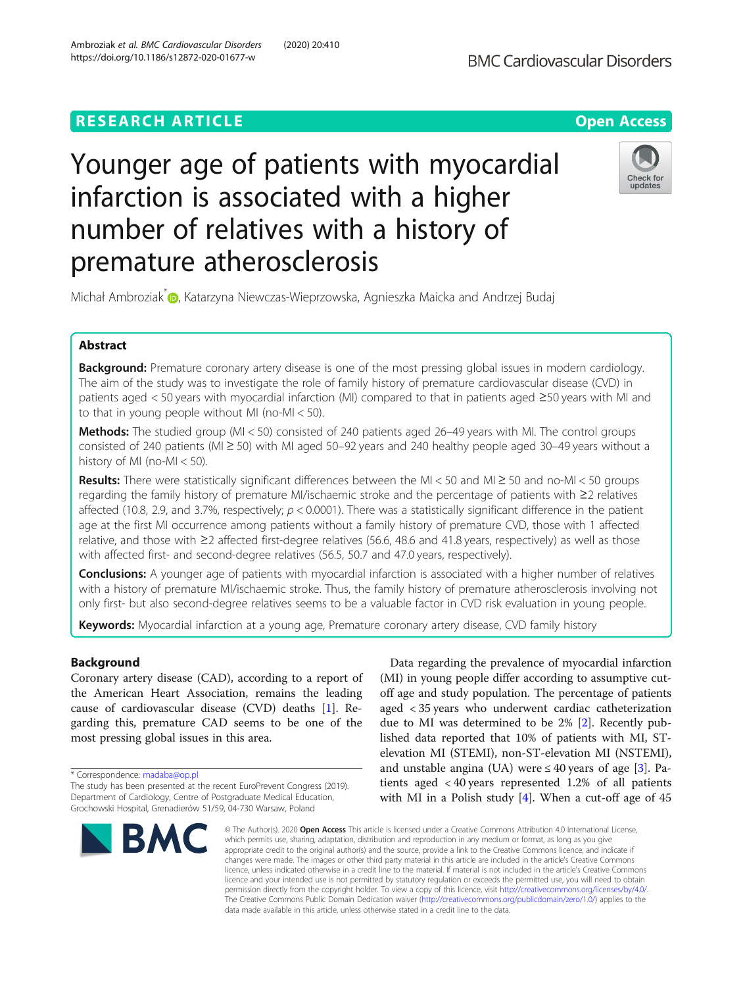## **RESEARCH ARTICLE Example 2014 12:30 The Contract of Contract ACCESS**

# Younger age of patients with myocardial infarction is associated with a higher number of relatives with a history of premature atherosclerosis



Michał Ambroziak<sup>[\\*](https://orcid.org/0000-0002-3172-0719)</sup> , Katarzyna Niewczas-Wieprzowska, Agnieszka Maicka and Andrzej Budaj

### Abstract

Background: Premature coronary artery disease is one of the most pressing global issues in modern cardiology. The aim of the study was to investigate the role of family history of premature cardiovascular disease (CVD) in patients aged < 50 years with myocardial infarction (MI) compared to that in patients aged ≥50 years with MI and to that in young people without MI (no-MI < 50).

**Methods:** The studied group (MI < 50) consisted of 240 patients aged 26-49 years with MI. The control groups consisted of 240 patients (MI ≥ 50) with MI aged 50–92 years and 240 healthy people aged 30–49 years without a history of MI (no-MI < 50).

Results: There were statistically significant differences between the MI < 50 and MI  $\geq$  50 and no-MI < 50 groups regarding the family history of premature MI/ischaemic stroke and the percentage of patients with ≥2 relatives affected (10.8, 2.9, and 3.7%, respectively;  $p < 0.0001$ ). There was a statistically significant difference in the patient age at the first MI occurrence among patients without a family history of premature CVD, those with 1 affected relative, and those with ≥2 affected first-degree relatives (56.6, 48.6 and 41.8 years, respectively) as well as those with affected first- and second-degree relatives (56.5, 50.7 and 47.0 years, respectively).

Conclusions: A younger age of patients with myocardial infarction is associated with a higher number of relatives with a history of premature MI/ischaemic stroke. Thus, the family history of premature atherosclerosis involving not only first- but also second-degree relatives seems to be a valuable factor in CVD risk evaluation in young people.

Keywords: Myocardial infarction at a young age, Premature coronary artery disease, CVD family history

### Background

Coronary artery disease (CAD), according to a report of the American Heart Association, remains the leading cause of cardiovascular disease (CVD) deaths [\[1](#page-7-0)]. Regarding this, premature CAD seems to be one of the most pressing global issues in this area.

\* Correspondence: [madaba@op.pl](mailto:madaba@op.pl)

The study has been presented at the recent EuroPrevent Congress (2019). Department of Cardiology, Centre of Postgraduate Medical Education, Grochowski Hospital, Grenadierów 51/59, 04-730 Warsaw, Poland



Data regarding the prevalence of myocardial infarction (MI) in young people differ according to assumptive cutoff age and study population. The percentage of patients aged < 35 years who underwent cardiac catheterization due to MI was determined to be 2% [\[2](#page-7-0)]. Recently published data reported that 10% of patients with MI, STelevation MI (STEMI), non-ST-elevation MI (NSTEMI), and unstable angina (UA) were  $\leq 40$  years of age [\[3](#page-7-0)]. Patients aged < 40 years represented 1.2% of all patients with MI in a Polish study [[4\]](#page-7-0). When a cut-off age of 45

© The Author(s), 2020 **Open Access** This article is licensed under a Creative Commons Attribution 4.0 International License, which permits use, sharing, adaptation, distribution and reproduction in any medium or format, as long as you give appropriate credit to the original author(s) and the source, provide a link to the Creative Commons licence, and indicate if changes were made. The images or other third party material in this article are included in the article's Creative Commons licence, unless indicated otherwise in a credit line to the material. If material is not included in the article's Creative Commons licence and your intended use is not permitted by statutory regulation or exceeds the permitted use, you will need to obtain permission directly from the copyright holder. To view a copy of this licence, visit [http://creativecommons.org/licenses/by/4.0/.](http://creativecommons.org/licenses/by/4.0/) The Creative Commons Public Domain Dedication waiver [\(http://creativecommons.org/publicdomain/zero/1.0/](http://creativecommons.org/publicdomain/zero/1.0/)) applies to the data made available in this article, unless otherwise stated in a credit line to the data.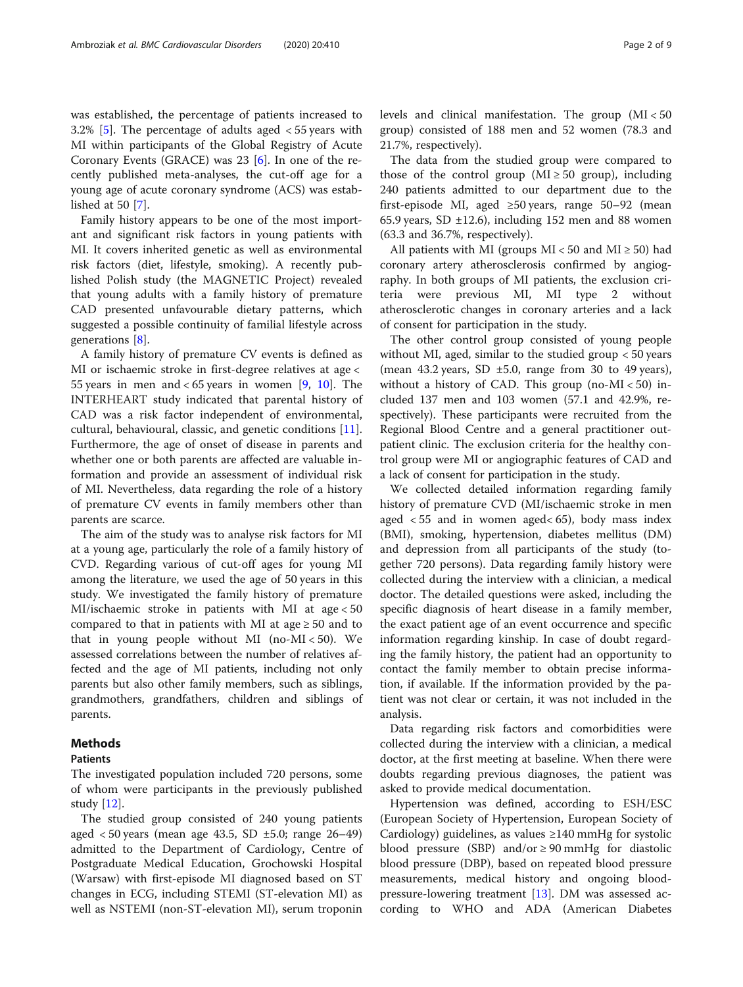was established, the percentage of patients increased to 3.2% [[5\]](#page-7-0). The percentage of adults aged < 55 years with MI within participants of the Global Registry of Acute Coronary Events (GRACE) was  $23$  [\[6](#page-7-0)]. In one of the recently published meta-analyses, the cut-off age for a young age of acute coronary syndrome (ACS) was established at 50 [[7\]](#page-7-0).

Family history appears to be one of the most important and significant risk factors in young patients with MI. It covers inherited genetic as well as environmental risk factors (diet, lifestyle, smoking). A recently published Polish study (the MAGNETIC Project) revealed that young adults with a family history of premature CAD presented unfavourable dietary patterns, which suggested a possible continuity of familial lifestyle across generations [[8\]](#page-7-0).

A family history of premature CV events is defined as MI or ischaemic stroke in first-degree relatives at age < 55 years in men and <  $65$  years in women [\[9](#page-7-0), [10](#page-7-0)]. The INTERHEART study indicated that parental history of CAD was a risk factor independent of environmental, cultural, behavioural, classic, and genetic conditions [\[11](#page-7-0)]. Furthermore, the age of onset of disease in parents and whether one or both parents are affected are valuable information and provide an assessment of individual risk of MI. Nevertheless, data regarding the role of a history of premature CV events in family members other than parents are scarce.

The aim of the study was to analyse risk factors for MI at a young age, particularly the role of a family history of CVD. Regarding various of cut-off ages for young MI among the literature, we used the age of 50 years in this study. We investigated the family history of premature MI/ischaemic stroke in patients with MI at age < 50 compared to that in patients with MI at age  $\geq$  50 and to that in young people without MI (no-MI < 50). We assessed correlations between the number of relatives affected and the age of MI patients, including not only parents but also other family members, such as siblings, grandmothers, grandfathers, children and siblings of parents.

#### Methods

#### Patients

The investigated population included 720 persons, some of whom were participants in the previously published study  $|12|$ .

The studied group consisted of 240 young patients aged  $<$  50 years (mean age 43.5, SD  $\pm$ 5.0; range 26–49) admitted to the Department of Cardiology, Centre of Postgraduate Medical Education, Grochowski Hospital (Warsaw) with first-episode MI diagnosed based on ST changes in ECG, including STEMI (ST-elevation MI) as well as NSTEMI (non-ST-elevation MI), serum troponin

levels and clinical manifestation. The group (MI < 50 group) consisted of 188 men and 52 women (78.3 and 21.7%, respectively).

The data from the studied group were compared to those of the control group ( $MI \ge 50$  group), including 240 patients admitted to our department due to the first-episode MI, aged  $\geq 50$  years, range 50–92 (mean 65.9 years, SD  $\pm$ 12.6), including 152 men and 88 women (63.3 and 36.7%, respectively).

All patients with MI (groups  $MI < 50$  and  $MI \ge 50$ ) had coronary artery atherosclerosis confirmed by angiography. In both groups of MI patients, the exclusion criteria were previous MI, MI type 2 without atherosclerotic changes in coronary arteries and a lack of consent for participation in the study.

The other control group consisted of young people without MI, aged, similar to the studied group < 50 years (mean  $43.2$  years, SD  $\pm 5.0$ , range from 30 to 49 years), without a history of CAD. This group (no- $MI < 50$ ) included 137 men and 103 women (57.1 and 42.9%, respectively). These participants were recruited from the Regional Blood Centre and a general practitioner outpatient clinic. The exclusion criteria for the healthy control group were MI or angiographic features of CAD and a lack of consent for participation in the study.

We collected detailed information regarding family history of premature CVD (MI/ischaemic stroke in men aged  $<$  55 and in women aged $<$  65), body mass index (BMI), smoking, hypertension, diabetes mellitus (DM) and depression from all participants of the study (together 720 persons). Data regarding family history were collected during the interview with a clinician, a medical doctor. The detailed questions were asked, including the specific diagnosis of heart disease in a family member, the exact patient age of an event occurrence and specific information regarding kinship. In case of doubt regarding the family history, the patient had an opportunity to contact the family member to obtain precise information, if available. If the information provided by the patient was not clear or certain, it was not included in the analysis.

Data regarding risk factors and comorbidities were collected during the interview with a clinician, a medical doctor, at the first meeting at baseline. When there were doubts regarding previous diagnoses, the patient was asked to provide medical documentation.

Hypertension was defined, according to ESH/ESC (European Society of Hypertension, European Society of Cardiology) guidelines, as values ≥140 mmHg for systolic blood pressure (SBP) and/or  $\geq$  90 mmHg for diastolic blood pressure (DBP), based on repeated blood pressure measurements, medical history and ongoing bloodpressure-lowering treatment [\[13](#page-7-0)]. DM was assessed according to WHO and ADA (American Diabetes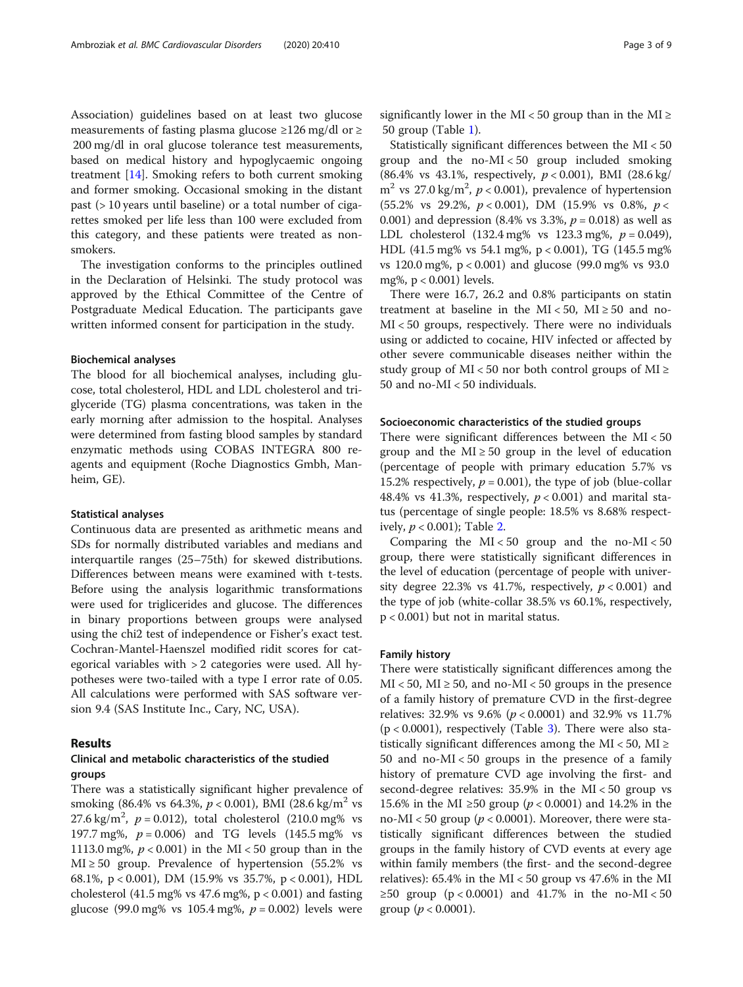Association) guidelines based on at least two glucose measurements of fasting plasma glucose  $\geq$ 126 mg/dl or  $\geq$ 200 mg/dl in oral glucose tolerance test measurements, based on medical history and hypoglycaemic ongoing treatment [\[14](#page-7-0)]. Smoking refers to both current smoking and former smoking. Occasional smoking in the distant past (> 10 years until baseline) or a total number of cigarettes smoked per life less than 100 were excluded from this category, and these patients were treated as nonsmokers.

The investigation conforms to the principles outlined in the Declaration of Helsinki. The study protocol was approved by the Ethical Committee of the Centre of Postgraduate Medical Education. The participants gave written informed consent for participation in the study.

#### Biochemical analyses

The blood for all biochemical analyses, including glucose, total cholesterol, HDL and LDL cholesterol and triglyceride (TG) plasma concentrations, was taken in the early morning after admission to the hospital. Analyses were determined from fasting blood samples by standard enzymatic methods using COBAS INTEGRA 800 reagents and equipment (Roche Diagnostics Gmbh, Manheim, GE).

#### Statistical analyses

Continuous data are presented as arithmetic means and SDs for normally distributed variables and medians and interquartile ranges (25–75th) for skewed distributions. Differences between means were examined with t-tests. Before using the analysis logarithmic transformations were used for triglicerides and glucose. The differences in binary proportions between groups were analysed using the chi2 test of independence or Fisher's exact test. Cochran-Mantel-Haenszel modified ridit scores for categorical variables with > 2 categories were used. All hypotheses were two-tailed with a type I error rate of 0.05. All calculations were performed with SAS software version 9.4 (SAS Institute Inc., Cary, NC, USA).

#### Results

#### Clinical and metabolic characteristics of the studied groups

There was a statistically significant higher prevalence of smoking (86.4% vs 64.3%,  $p < 0.001$ ), BMI (28.6 kg/m<sup>2</sup> vs 27.6 kg/m<sup>2</sup>,  $p = 0.012$ ), total cholesterol (210.0 mg% vs 197.7 mg%,  $p = 0.006$ ) and TG levels (145.5 mg% vs 1113.0 mg%,  $p < 0.001$ ) in the MI < 50 group than in the  $MI \ge 50$  group. Prevalence of hypertension (55.2% vs 68.1%, p < 0.001), DM (15.9% vs 35.7%, p < 0.001), HDL cholesterol (41.5 mg% vs 47.6 mg%,  $p < 0.001$ ) and fasting glucose (99.0 mg% vs 105.4 mg%,  $p = 0.002$ ) levels were

significantly lower in the MI < 50 group than in the MI  $\ge$ 50 group (Table [1](#page-3-0)).

Statistically significant differences between the MI < 50 group and the no-MI < 50 group included smoking (86.4% vs 43.1%, respectively,  $p < 0.001$ ), BMI (28.6 kg/  $m^2$  vs 27.0 kg/m<sup>2</sup>,  $p < 0.001$ ), prevalence of hypertension (55.2% vs 29.2%,  $p < 0.001$ ), DM (15.9% vs 0.8%,  $p <$ 0.001) and depression  $(8.4\% \text{ vs } 3.3\%, p = 0.018)$  as well as LDL cholesterol  $(132.4 \text{ mg\% vs } 123.3 \text{ mg\%}, p = 0.049)$ , HDL (41.5 mg% vs 54.1 mg%, p < 0.001), TG (145.5 mg% vs 120.0 mg%, p < 0.001) and glucose (99.0 mg% vs 93.0 mg%, p < 0.001) levels.

There were 16.7, 26.2 and 0.8% participants on statin treatment at baseline in the MI < 50, MI  $\geq$  50 and no-MI < 50 groups, respectively. There were no individuals using or addicted to cocaine, HIV infected or affected by other severe communicable diseases neither within the study group of MI < 50 nor both control groups of MI  $\ge$ 50 and no-MI < 50 individuals.

#### Socioeconomic characteristics of the studied groups

There were significant differences between the MI < 50 group and the  $MI \ge 50$  group in the level of education (percentage of people with primary education 5.7% vs 15.2% respectively,  $p = 0.001$ ), the type of job (blue-collar 48.4% vs 41.3%, respectively,  $p < 0.001$ ) and marital status (percentage of single people: 18.5% vs 8.68% respectively,  $p < 0.001$ ); Table [2](#page-3-0).

Comparing the  $MI < 50$  group and the no- $MI < 50$ group, there were statistically significant differences in the level of education (percentage of people with university degree 22.3% vs 41.7%, respectively,  $p < 0.001$ ) and the type of job (white-collar 38.5% vs 60.1%, respectively, p < 0.001) but not in marital status.

#### Family history

There were statistically significant differences among the  $MI < 50$ ,  $MI \ge 50$ , and no- $MI < 50$  groups in the presence of a family history of premature CVD in the first-degree relatives: 32.9% vs 9.6% ( $p < 0.0001$ ) and 32.9% vs 11.7%  $(p < 0.0001)$ , respectively (Table [3\)](#page-4-0). There were also statistically significant differences among the MI < 50, MI  $\ge$ 50 and no-MI < 50 groups in the presence of a family history of premature CVD age involving the first- and second-degree relatives: 35.9% in the MI < 50 group vs 15.6% in the MI ≥50 group ( $p$  < 0.0001) and 14.2% in the no-MI < 50 group ( $p < 0.0001$ ). Moreover, there were statistically significant differences between the studied groups in the family history of CVD events at every age within family members (the first- and the second-degree relatives): 65.4% in the MI < 50 group vs 47.6% in the MI ≥50 group (p < 0.0001) and 41.7% in the no-MI < 50 group ( $p < 0.0001$ ).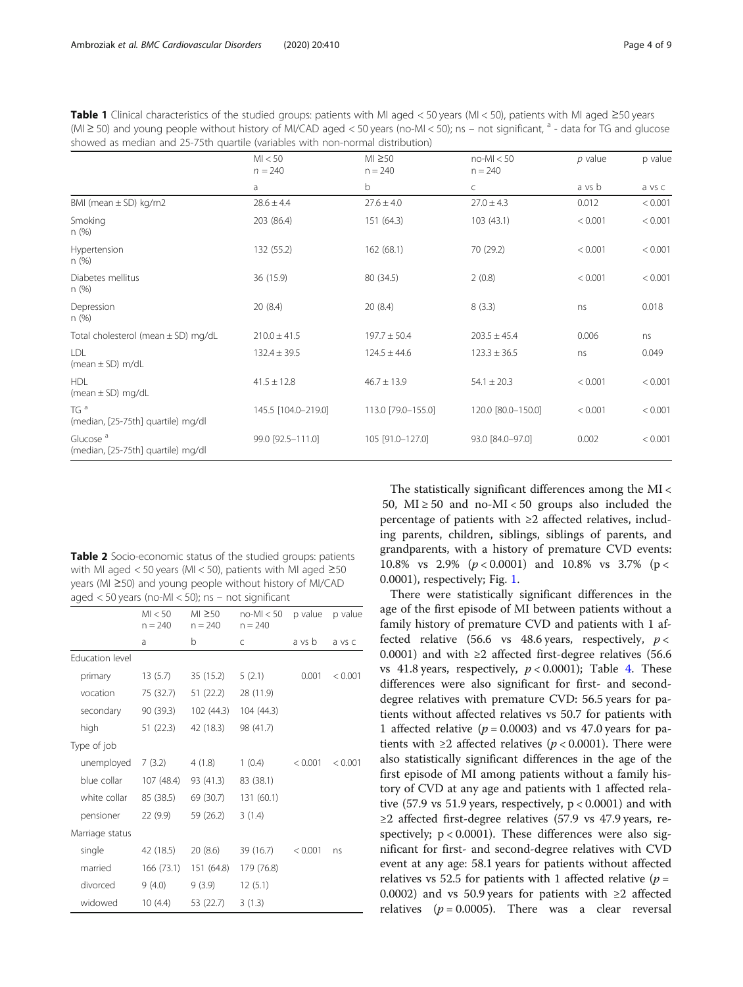<span id="page-3-0"></span>Table 1 Clinical characteristics of the studied groups: patients with MI aged < 50 years (MI < 50), patients with MI aged  $\geq$ 50 years (MI ≥ 50) and young people without history of MI/CAD aged < 50 years (no-MI < 50); ns – not significant,  $a$  - data for TG and glucose showed as median and 25-75th quartile (variables with non-normal distribution)

|                                                            | MI < 50<br>$n = 240$ | $MI \geq 50$<br>$n = 240$ | $no-Ml < 50$<br>$n = 240$ | $p$ value | p value |  |
|------------------------------------------------------------|----------------------|---------------------------|---------------------------|-----------|---------|--|
|                                                            | a                    | b                         | C                         | a vs b    | a vs c  |  |
| BMI (mean $\pm$ SD) kg/m2                                  | $28.6 \pm 4.4$       | $27.6 \pm 4.0$            | $27.0 \pm 4.3$            | 0.012     | < 0.001 |  |
| Smoking<br>n(%)                                            | 203 (86.4)           | 151 (64.3)                | 103(43.1)                 | < 0.001   | < 0.001 |  |
| Hypertension<br>n(%)                                       | 132 (55.2)           | 162(68.1)                 | 70 (29.2)                 | < 0.001   | < 0.001 |  |
| Diabetes mellitus<br>n(%)                                  | 36 (15.9)            | 80 (34.5)                 | 2(0.8)                    | < 0.001   | < 0.001 |  |
| Depression<br>n(%)                                         | 20(8.4)              | 20(8.4)                   | 8(3.3)                    | ns        | 0.018   |  |
| Total cholesterol (mean $\pm$ SD) mg/dL                    | $210.0 \pm 41.5$     | $197.7 \pm 50.4$          | $203.5 \pm 45.4$          | 0.006     | ns      |  |
| LDL<br>(mean $\pm$ SD) m/dL                                | $132.4 \pm 39.5$     | $124.5 \pm 44.6$          | $123.3 \pm 36.5$          | ns        | 0.049   |  |
| <b>HDI</b><br>(mean $\pm$ SD) mg/dL                        | $41.5 \pm 12.8$      | $46.7 \pm 13.9$           | $54.1 \pm 20.3$           | < 0.001   | < 0.001 |  |
| TG <sup>a</sup><br>(median, [25-75th] quartile) mg/dl      | 145.5 [104.0-219.0]  | 113.0 [79.0-155.0]        | 120.0 [80.0-150.0]        | < 0.001   | < 0.001 |  |
| Glucose <sup>a</sup><br>(median, [25-75th] quartile) mg/dl | 99.0 [92.5-111.0]    | 105 [91.0-127.0]          | 93.0 [84.0-97.0]          | 0.002     | < 0.001 |  |

Table 2 Socio-economic status of the studied groups: patients with MI aged < 50 years (MI < 50), patients with MI aged ≥50 years (MI ≥50) and young people without history of MI/CAD aged < 50 years (no-MI < 50); ns – not significant

|                        | MI < 50<br>$n = 240$ | $MI \geq 50$<br>$n = 240$ | $no-M < 50$<br>$n = 240$ | p value | p value |
|------------------------|----------------------|---------------------------|--------------------------|---------|---------|
|                        | a                    | b                         | C                        | a vs b  | a vs c  |
| <b>Education level</b> |                      |                           |                          |         |         |
| primary                | 13(5.7)              | 35 (15.2)                 | 5(2.1)                   | 0.001   | < 0.001 |
| vocation               | 75 (32.7)            | 51 (22.2)                 | 28 (11.9)                |         |         |
| secondary              | 90 (39.3)            | 102 (44.3)                | 104 (44.3)               |         |         |
| high                   | 51(22.3)             | 42 (18.3)                 | 98 (41.7)                |         |         |
| Type of job            |                      |                           |                          |         |         |
| unemployed             | 7(3.2)               | 4(1.8)                    | 1(0.4)                   | < 0.001 | < 0.001 |
| blue collar            | 107 (48.4)           | 93 (41.3)                 | 83 (38.1)                |         |         |
| white collar           | 85 (38.5)            | 69 (30.7)                 | 131 (60.1)               |         |         |
| pensioner              | 22(9.9)              | 59 (26.2)                 | 3(1.4)                   |         |         |
| Marriage status        |                      |                           |                          |         |         |
| single                 | 42 (18.5)            | 20(8.6)                   | 39 (16.7)                | < 0.001 | ns      |
| married                | 166 (73.1)           | 151 (64.8)                | 179 (76.8)               |         |         |
| divorced               | 9(4.0)               | 9(3.9)                    | 12(5.1)                  |         |         |
| widowed                | 10(4.4)              | 53 (22.7)                 | 3(1.3)                   |         |         |

The statistically significant differences among the MI < 50,  $MI \ge 50$  and no- $MI < 50$  groups also included the percentage of patients with ≥2 affected relatives, including parents, children, siblings, siblings of parents, and grandparents, with a history of premature CVD events: 10.8% vs 2.9%  $(p < 0.0001)$  and 10.8% vs 3.7%  $(p <$ 0.0001), respectively; Fig. [1.](#page-4-0)

There were statistically significant differences in the age of the first episode of MI between patients without a family history of premature CVD and patients with 1 affected relative (56.6 vs 48.6 years, respectively,  $p <$ 0.0001) and with  $\geq 2$  affected first-degree relatives (56.6 vs [4](#page-5-0)1.8 years, respectively,  $p < 0.0001$ ); Table 4. These differences were also significant for first- and seconddegree relatives with premature CVD: 56.5 years for patients without affected relatives vs 50.7 for patients with 1 affected relative ( $p = 0.0003$ ) and vs 47.0 years for patients with  $\geq 2$  affected relatives ( $p < 0.0001$ ). There were also statistically significant differences in the age of the first episode of MI among patients without a family history of CVD at any age and patients with 1 affected relative  $(57.9 \text{ vs } 51.9 \text{ years},$  respectively,  $p < 0.0001$ ) and with  $\geq$ 2 affected first-degree relatives (57.9 vs 47.9 years, respectively;  $p < 0.0001$ ). These differences were also significant for first- and second-degree relatives with CVD event at any age: 58.1 years for patients without affected relatives vs 52.5 for patients with 1 affected relative  $(p =$ 0.0002) and vs 50.9 years for patients with  $\geq 2$  affected relatives ( $p = 0.0005$ ). There was a clear reversal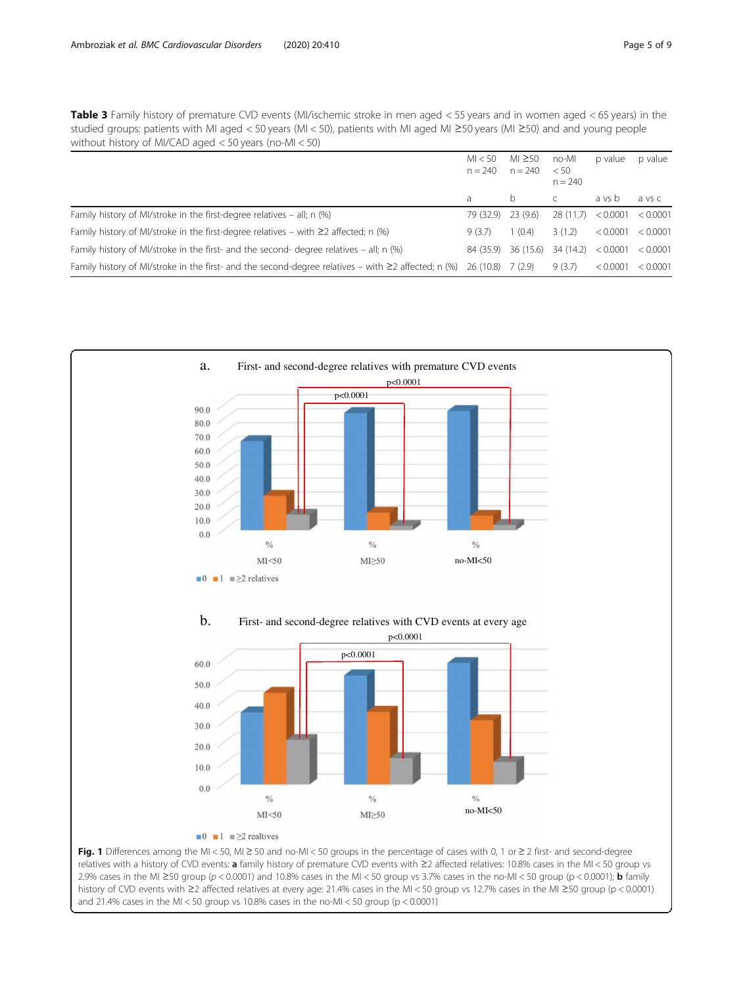<span id="page-4-0"></span>Table 3 Family history of premature CVD events (MI/ischemic stroke in men aged < 55 years and in women aged < 65 years) in the studied groups: patients with MI aged < 50 years (MI < 50), patients with MI aged MI ≥50 years (MI ≥50) and and young people without history of MI/CAD aged < 50 years (no-MI < 50)

|                                                                                                                             | MI < 50<br>$n = 240$ | $M1 \geq 50$<br>$n = 240$ | no-MI<br>< 50<br>$n = 240$ | p value           | p value  |
|-----------------------------------------------------------------------------------------------------------------------------|----------------------|---------------------------|----------------------------|-------------------|----------|
|                                                                                                                             | a                    | b.                        |                            | a vs b            | a vs c   |
| Family history of MI/stroke in the first-degree relatives $=$ all; n $(\%)$                                                 | 79 (32.9) 23 (9.6)   |                           | 28(11.7) < 0.0001          |                   | < 0.0001 |
| Family history of MI/stroke in the first-degree relatives – with $\geq 2$ affected; n (%)                                   | 9 (3.7)              | 1(0.4)                    | 3(1.2)                     | < 0.0001          | < 0.0001 |
| Family history of MI/stroke in the first- and the second- degree relatives $-$ all; n $(96)$                                | 84 (35.9)            | 36 (15.6)                 | 34 (14.2)                  | < 0.0001 < 0.0001 |          |
| Family history of MI/stroke in the first- and the second-degree relatives – with $\geq$ 2 affected; n (%) 26 (10.8) 7 (2.9) |                      |                           | 9(3.7)                     | < 0.0001          | < 0.0001 |



relatives with a history of CVD events: a family history of premature CVD events with ≥2 affected relatives: 10.8% cases in the MI < 50 group vs 2.9% cases in the MI ≥50 group (p < 0.0001) and 10.8% cases in the MI < 50 group vs 3.7% cases in the no-MI < 50 group (p < 0.0001); **b** family history of CVD events with ≥2 affected relatives at every age: 21.4% cases in the MI < 50 group vs 12.7% cases in the MI ≥50 group (p < 0.0001) and 21.4% cases in the MI < 50 group vs 10.8% cases in the no-MI < 50 group ( $p < 0.0001$ )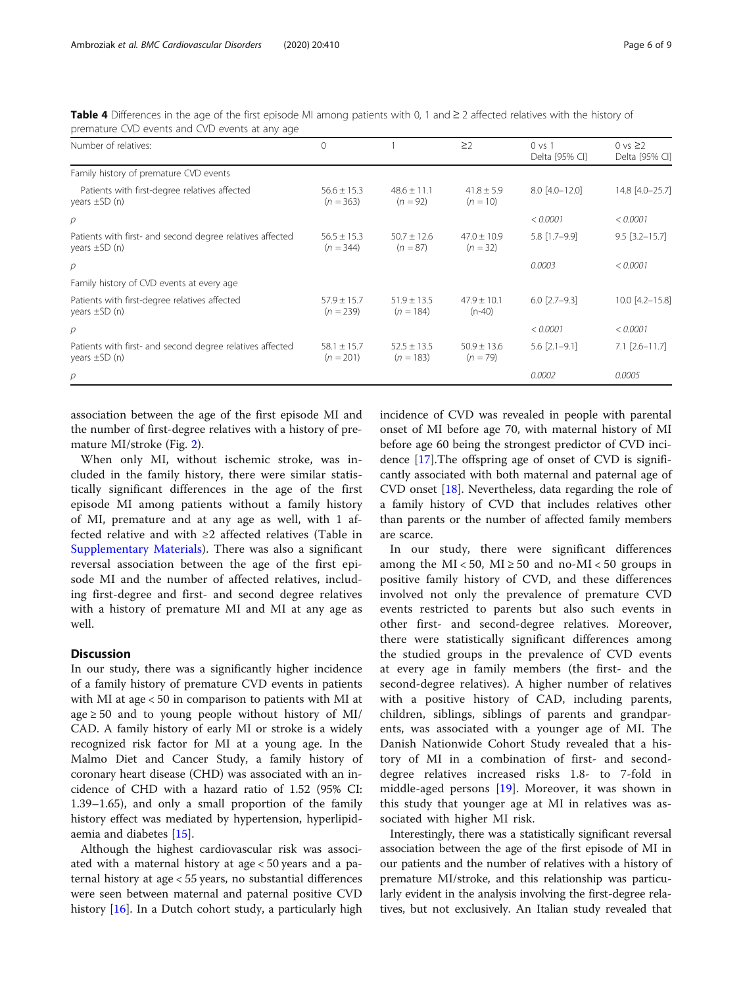<span id="page-5-0"></span>Table 4 Differences in the age of the first episode MI among patients with 0, 1 and  $\geq 2$  affected relatives with the history of premature CVD events and CVD events at any age

| Number of relatives:                                                              | $\Omega$                       |                                | $\geq$                        | $0 \text{ vs } 1$<br>Delta [95% CI] | 0 vs $\geq$ 2<br>Delta [95% CI] |
|-----------------------------------------------------------------------------------|--------------------------------|--------------------------------|-------------------------------|-------------------------------------|---------------------------------|
| Family history of premature CVD events                                            |                                |                                |                               |                                     |                                 |
| Patients with first-degree relatives affected<br>years $\pm$ SD $(n)$             | $56.6 \pm 15.3$<br>$(n = 363)$ | $48.6 \pm 11.1$<br>$(n = 92)$  | $41.8 \pm 5.9$<br>$(n = 10)$  | $8.0$ [4.0-12.0]                    | 14.8 [4.0-25.7]                 |
| р                                                                                 |                                |                                |                               | < 0.0001                            | < 0.0001                        |
| Patients with first- and second degree relatives affected<br>years $\pm$ SD $(n)$ | $56.5 + 15.3$<br>$(n = 344)$   | $50.7 + 12.6$<br>$(n = 87)$    | $47.0 + 10.9$<br>$(n = 32)$   | 5.8 [1.7-9.9]                       | $9.5$ [3.2-15.7]                |
| р                                                                                 |                                |                                |                               | 0.0003                              | < 0.0001                        |
| Family history of CVD events at every age                                         |                                |                                |                               |                                     |                                 |
| Patients with first-degree relatives affected<br>years $\pm$ SD $(n)$             | $57.9 \pm 15.7$<br>$(n = 239)$ | $51.9 \pm 13.5$<br>$(n = 184)$ | $47.9 \pm 10.1$<br>$(n-40)$   | $6.0$ [2.7-9.3]                     | 10.0 [4.2-15.8]                 |
| р                                                                                 |                                |                                |                               | < 0.0001                            | < 0.0001                        |
| Patients with first- and second degree relatives affected<br>years $\pm$ SD $(n)$ | $58.1 \pm 15.7$<br>$(n = 201)$ | $52.5 \pm 13.5$<br>$(n = 183)$ | $50.9 \pm 13.6$<br>$(n = 79)$ | $5.6$ $[2.1 - 9.1]$                 | $7.1$ $[2.6 - 11.7]$            |
| $\overline{p}$                                                                    |                                |                                |                               | 0.0002                              | 0.0005                          |

association between the age of the first episode MI and the number of first-degree relatives with a history of premature MI/stroke (Fig. [2](#page-6-0)).

When only MI, without ischemic stroke, was included in the family history, there were similar statistically significant differences in the age of the first episode MI among patients without a family history of MI, premature and at any age as well, with 1 affected relative and with ≥2 affected relatives (Table in [Supplementary Materials\)](#page-7-0). There was also a significant reversal association between the age of the first episode MI and the number of affected relatives, including first-degree and first- and second degree relatives with a history of premature MI and MI at any age as well.

#### **Discussion**

In our study, there was a significantly higher incidence of a family history of premature CVD events in patients with MI at age < 50 in comparison to patients with MI at age  $\geq$  50 and to young people without history of MI/ CAD. A family history of early MI or stroke is a widely recognized risk factor for MI at a young age. In the Malmo Diet and Cancer Study, a family history of coronary heart disease (CHD) was associated with an incidence of CHD with a hazard ratio of 1.52 (95% CI: 1.39–1.65), and only a small proportion of the family history effect was mediated by hypertension, hyperlipidaemia and diabetes [[15](#page-7-0)].

Although the highest cardiovascular risk was associated with a maternal history at age < 50 years and a paternal history at age < 55 years, no substantial differences were seen between maternal and paternal positive CVD history [\[16\]](#page-7-0). In a Dutch cohort study, a particularly high incidence of CVD was revealed in people with parental onset of MI before age 70, with maternal history of MI before age 60 being the strongest predictor of CVD incidence [\[17](#page-8-0)].The offspring age of onset of CVD is significantly associated with both maternal and paternal age of CVD onset [[18\]](#page-8-0). Nevertheless, data regarding the role of a family history of CVD that includes relatives other than parents or the number of affected family members are scarce.

In our study, there were significant differences among the MI < 50, MI  $\geq$  50 and no-MI < 50 groups in positive family history of CVD, and these differences involved not only the prevalence of premature CVD events restricted to parents but also such events in other first- and second-degree relatives. Moreover, there were statistically significant differences among the studied groups in the prevalence of CVD events at every age in family members (the first- and the second-degree relatives). A higher number of relatives with a positive history of CAD, including parents, children, siblings, siblings of parents and grandparents, was associated with a younger age of MI. The Danish Nationwide Cohort Study revealed that a history of MI in a combination of first- and seconddegree relatives increased risks 1.8- to 7-fold in middle-aged persons [[19\]](#page-8-0). Moreover, it was shown in this study that younger age at MI in relatives was associated with higher MI risk.

Interestingly, there was a statistically significant reversal association between the age of the first episode of MI in our patients and the number of relatives with a history of premature MI/stroke, and this relationship was particularly evident in the analysis involving the first-degree relatives, but not exclusively. An Italian study revealed that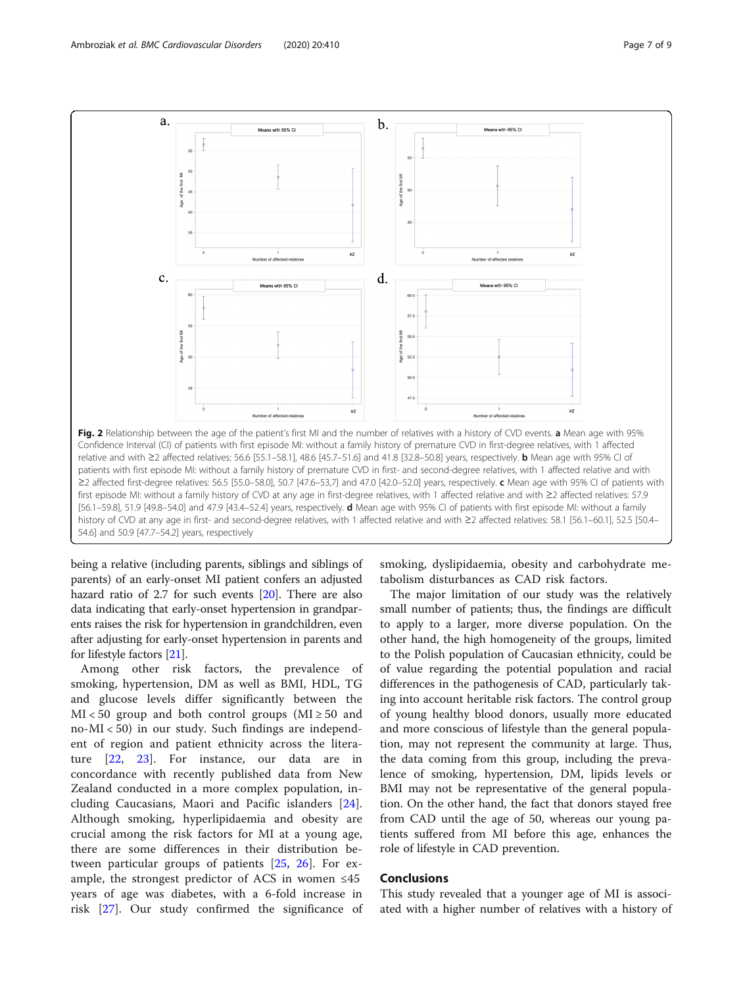<span id="page-6-0"></span>

being a relative (including parents, siblings and siblings of parents) of an early-onset MI patient confers an adjusted hazard ratio of 2.7 for such events [[20](#page-8-0)]. There are also data indicating that early-onset hypertension in grandparents raises the risk for hypertension in grandchildren, even after adjusting for early-onset hypertension in parents and for lifestyle factors [[21](#page-8-0)].

Among other risk factors, the prevalence of smoking, hypertension, DM as well as BMI, HDL, TG and glucose levels differ significantly between the  $MI < 50$  group and both control groups ( $MI \ge 50$  and no-MI < 50) in our study. Such findings are independent of region and patient ethnicity across the literature [\[22](#page-8-0), [23\]](#page-8-0). For instance, our data are in concordance with recently published data from New Zealand conducted in a more complex population, including Caucasians, Maori and Pacific islanders [\[24](#page-8-0)]. Although smoking, hyperlipidaemia and obesity are crucial among the risk factors for MI at a young age, there are some differences in their distribution between particular groups of patients [\[25](#page-8-0), [26\]](#page-8-0). For example, the strongest predictor of ACS in women  $\leq 45$ years of age was diabetes, with a 6-fold increase in risk [\[27](#page-8-0)]. Our study confirmed the significance of smoking, dyslipidaemia, obesity and carbohydrate metabolism disturbances as CAD risk factors.

The major limitation of our study was the relatively small number of patients; thus, the findings are difficult to apply to a larger, more diverse population. On the other hand, the high homogeneity of the groups, limited to the Polish population of Caucasian ethnicity, could be of value regarding the potential population and racial differences in the pathogenesis of CAD, particularly taking into account heritable risk factors. The control group of young healthy blood donors, usually more educated and more conscious of lifestyle than the general population, may not represent the community at large. Thus, the data coming from this group, including the prevalence of smoking, hypertension, DM, lipids levels or BMI may not be representative of the general population. On the other hand, the fact that donors stayed free from CAD until the age of 50, whereas our young patients suffered from MI before this age, enhances the role of lifestyle in CAD prevention.

#### **Conclusions**

This study revealed that a younger age of MI is associated with a higher number of relatives with a history of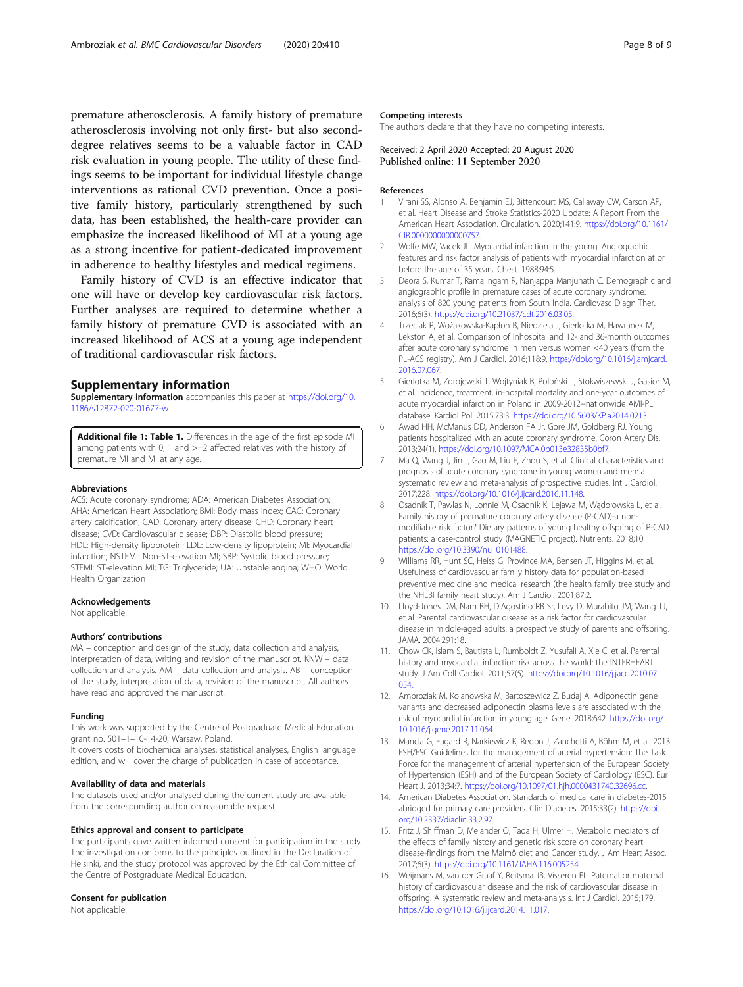<span id="page-7-0"></span>premature atherosclerosis. A family history of premature atherosclerosis involving not only first- but also seconddegree relatives seems to be a valuable factor in CAD risk evaluation in young people. The utility of these findings seems to be important for individual lifestyle change interventions as rational CVD prevention. Once a positive family history, particularly strengthened by such data, has been established, the health-care provider can emphasize the increased likelihood of MI at a young age as a strong incentive for patient-dedicated improvement in adherence to healthy lifestyles and medical regimens.

Family history of CVD is an effective indicator that one will have or develop key cardiovascular risk factors. Further analyses are required to determine whether a family history of premature CVD is associated with an increased likelihood of ACS at a young age independent of traditional cardiovascular risk factors.

#### Supplementary information

Supplementary information accompanies this paper at [https://doi.org/10.](https://doi.org/10.1186/s12872-020-01677-w) [1186/s12872-020-01677-w](https://doi.org/10.1186/s12872-020-01677-w).

Additional file 1: Table 1. Differences in the age of the first episode MI among patients with 0, 1 and >=2 affected relatives with the history of premature MI and MI at any age.

#### Abbreviations

ACS: Acute coronary syndrome; ADA: American Diabetes Association; AHA: American Heart Association; BMI: Body mass index; CAC: Coronary artery calcification; CAD: Coronary artery disease; CHD: Coronary heart disease; CVD: Cardiovascular disease; DBP: Diastolic blood pressure; HDL: High-density lipoprotein; LDL: Low-density lipoprotein; MI: Myocardial infarction; NSTEMI: Non-ST-elevation MI; SBP: Systolic blood pressure; STEMI: ST-elevation MI; TG: Triglyceride; UA: Unstable angina; WHO: World Health Organization

#### Acknowledgements

Not applicable.

#### Authors' contributions

MA – conception and design of the study, data collection and analysis, interpretation of data, writing and revision of the manuscript. KNW – data collection and analysis. AM – data collection and analysis. AB – conception of the study, interpretation of data, revision of the manuscript. All authors have read and approved the manuscript.

#### Funding

This work was supported by the Centre of Postgraduate Medical Education grant no. 501–1–10-14-20; Warsaw, Poland.

It covers costs of biochemical analyses, statistical analyses, English language edition, and will cover the charge of publication in case of acceptance.

#### Availability of data and materials

The datasets used and/or analysed during the current study are available from the corresponding author on reasonable request.

#### Ethics approval and consent to participate

The participants gave written informed consent for participation in the study. The investigation conforms to the principles outlined in the Declaration of Helsinki, and the study protocol was approved by the Ethical Committee of the Centre of Postgraduate Medical Education.

#### Consent for publication

Not applicable.

#### Competing interests

The authors declare that they have no competing interests.

Received: 2 April 2020 Accepted: 20 August 2020 Published online: 11 September 2020

#### References

- 1. Virani SS, Alonso A, Benjamin EJ, Bittencourt MS, Callaway CW, Carson AP, et al. Heart Disease and Stroke Statistics-2020 Update: A Report From the American Heart Association. Circulation. 2020;141:9. [https://doi.org/10.1161/](https://doi.org/10.1161/CIR.0000000000000757) [CIR.0000000000000757.](https://doi.org/10.1161/CIR.0000000000000757)
- 2. Wolfe MW, Vacek JL. Myocardial infarction in the young. Angiographic features and risk factor analysis of patients with myocardial infarction at or before the age of 35 years. Chest. 1988;94:5.
- 3. Deora S, Kumar T, Ramalingam R, Nanjappa Manjunath C. Demographic and angiographic profile in premature cases of acute coronary syndrome: analysis of 820 young patients from South India. Cardiovasc Diagn Ther. 2016;6(3). <https://doi.org/10.21037/cdt.2016.03.05>.
- 4. Trzeciak P, Wożakowska-Kapłon B, Niedziela J, Gierlotka M, Hawranek M, Lekston A, et al. Comparison of Inhospital and 12- and 36-month outcomes after acute coronary syndrome in men versus women <40 years (from the PL-ACS registry). Am J Cardiol. 2016;118:9. [https://doi.org/10.1016/j.amjcard.](https://doi.org/10.1016/j.amjcard.2016.07.067) [2016.07.067.](https://doi.org/10.1016/j.amjcard.2016.07.067)
- 5. Gierlotka M, Zdrojewski T, Wojtyniak B, Poloński L, Stokwiszewski J, Gąsior M, et al. Incidence, treatment, in-hospital mortality and one-year outcomes of acute myocardial infarction in Poland in 2009-2012--nationwide AMI-PL database. Kardiol Pol. 2015;73:3. [https://doi.org/10.5603/KP.a2014.0213.](https://doi.org/10.5603/KP.a2014.0213)
- 6. Awad HH, McManus DD, Anderson FA Jr, Gore JM, Goldberg RJ. Young patients hospitalized with an acute coronary syndrome. Coron Artery Dis. 2013;24(1). <https://doi.org/10.1097/MCA.0b013e32835b0bf7>.
- 7. Ma Q, Wang J, Jin J, Gao M, Liu F, Zhou S, et al. Clinical characteristics and prognosis of acute coronary syndrome in young women and men: a systematic review and meta-analysis of prospective studies. Int J Cardiol. 2017;228. <https://doi.org/10.1016/j.ijcard.2016.11.148>.
- 8. Osadnik T, Pawlas N, Lonnie M, Osadnik K, Lejawa M, Wądołowska L, et al. Family history of premature coronary artery disease (P-CAD)-a nonmodifiable risk factor? Dietary patterns of young healthy offspring of P-CAD patients: a case-control study (MAGNETIC project). Nutrients. 2018;10. [https://doi.org/10.3390/nu10101488.](https://doi.org/10.3390/nu10101488)
- 9. Williams RR, Hunt SC, Heiss G, Province MA, Bensen JT, Higgins M, et al. Usefulness of cardiovascular family history data for population-based preventive medicine and medical research (the health family tree study and the NHLBI family heart study). Am J Cardiol. 2001;87:2.
- 10. Lloyd-Jones DM, Nam BH, D'Agostino RB Sr, Levy D, Murabito JM, Wang TJ, et al. Parental cardiovascular disease as a risk factor for cardiovascular disease in middle-aged adults: a prospective study of parents and offspring. JAMA. 2004;291:18.
- 11. Chow CK, Islam S, Bautista L, Rumboldt Z, Yusufali A, Xie C, et al. Parental history and myocardial infarction risk across the world: the INTERHEART study. J Am Coll Cardiol. 2011;57(5). [https://doi.org/10.1016/j.jacc.2010.07.](https://doi.org/10.1016/j.jacc.2010.07.054.) [054.](https://doi.org/10.1016/j.jacc.2010.07.054.).
- 12. Ambroziak M, Kolanowska M, Bartoszewicz Z, Budaj A. Adiponectin gene variants and decreased adiponectin plasma levels are associated with the risk of myocardial infarction in young age. Gene. 2018;642. [https://doi.org/](https://doi.org/10.1016/j.gene.2017.11.064) [10.1016/j.gene.2017.11.064](https://doi.org/10.1016/j.gene.2017.11.064).
- 13. Mancia G, Fagard R, Narkiewicz K, Redon J, Zanchetti A, Böhm M, et al. 2013 ESH/ESC Guidelines for the management of arterial hypertension: The Task Force for the management of arterial hypertension of the European Society of Hypertension (ESH) and of the European Society of Cardiology (ESC). Eur Heart J. 2013;34:7. [https://doi.org/10.1097/01.hjh.0000431740.32696.cc.](https://doi.org/10.1097/01.hjh.0000431740.32696.cc)
- 14. American Diabetes Association. Standards of medical care in diabetes-2015 abridged for primary care providers. Clin Diabetes. 2015;33(2). [https://doi.](https://doi.org/10.2337/diaclin.33.2.97) [org/10.2337/diaclin.33.2.97](https://doi.org/10.2337/diaclin.33.2.97).
- 15. Fritz J, Shiffman D, Melander O, Tada H, Ulmer H. Metabolic mediators of the effects of family history and genetic risk score on coronary heart disease-findings from the Malmö diet and Cancer study. J Am Heart Assoc. 2017;6(3). [https://doi.org/10.1161/JAHA.116.005254.](https://doi.org/10.1161/JAHA.116.005254)
- 16. Weijmans M, van der Graaf Y, Reitsma JB, Visseren FL. Paternal or maternal history of cardiovascular disease and the risk of cardiovascular disease in offspring. A systematic review and meta-analysis. Int J Cardiol. 2015;179. <https://doi.org/10.1016/j.ijcard.2014.11.017>.